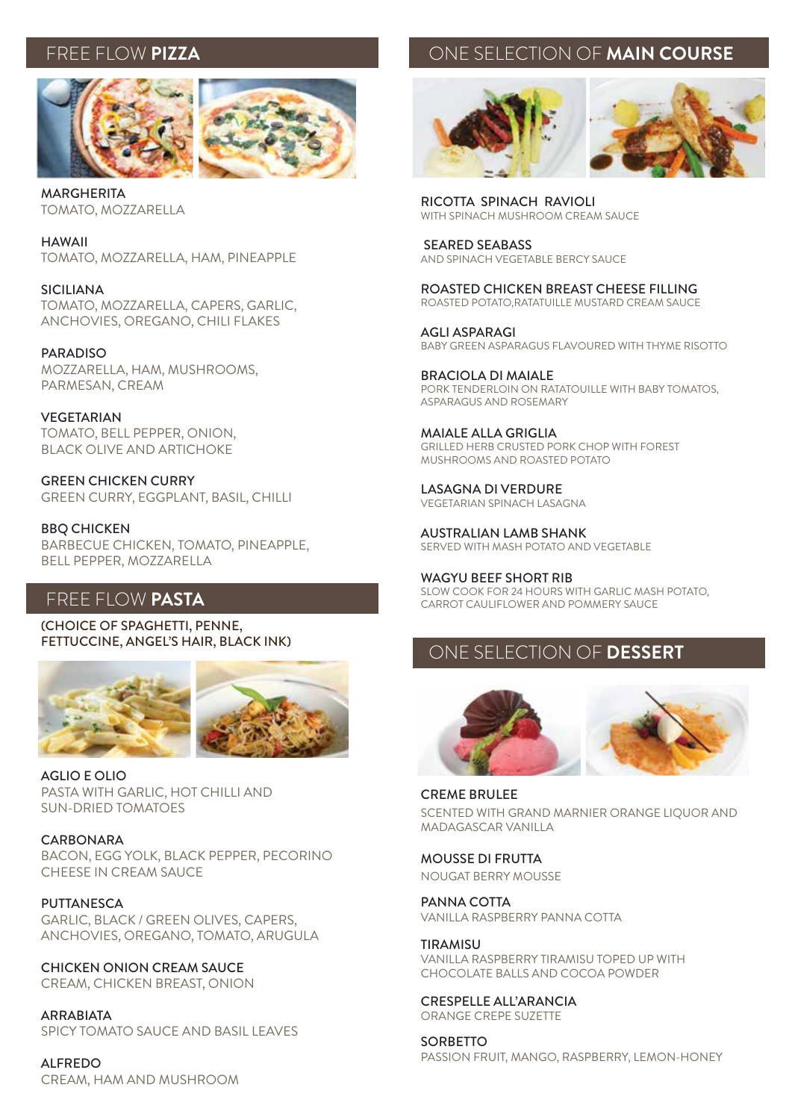



**MARGHERITA** TOMATO, MOZZARELLA

HAWAII TOMATO, MOZZARELLA, HAM, PINEAPPLE

SICILIANA TOMATO, MOZZARELLA, CAPERS, GARLIC, ANCHOVIES, OREGANO, CHILI FLAKES

PARADISO MOZZARELLA, HAM, MUSHROOMS, PARMESAN, CREAM

VEGETARIAN TOMATO, BELL PEPPER, ONION, BLACK OLIVE AND ARTICHOKE

GREEN CHICKEN CURRY GREEN CURRY, EGGPLANT, BASIL, CHILLI

BBQ CHICKEN BARBECUE CHICKEN, TOMATO, PINEAPPLE, BELL PEPPER, MOZZARELLA

## FREE FLOW **PASTA**

(CHOICE OF SPAGHETTI, PENNE, FETTUCCINE, ANGEL'S HAIR, BLACK INK)



AGLIO E OLIO PASTA WITH GARLIC, HOT CHILLI AND SUN-DRIED TOMATOES

**CARBONARA** BACON, EGG YOLK, BLACK PEPPER, PECORINO CHEESE IN CREAM SAUCE

**PUTTANESCA** GARLIC, BLACK / GREEN OLIVES, CAPERS, ANCHOVIES, OREGANO, TOMATO, ARUGULA

CHICKEN ONION CREAM SAUCE CREAM, CHICKEN BREAST, ONION

ARRABIATA SPICY TOMATO SAUCE AND BASIL LEAVES

ALFREDO CREAM, HAM AND MUSHROOM

## FREE FLOW **PIZZA** ONE SELECTION OF **MAIN COURSE**



RICOTTA SPINACH RAVIOLI WITH SPINACH MUSHROOM CREAM SAUCE

 SEARED SEABASS AND SPINACH VEGETABLE BERCY SAUCE

ROASTED CHICKEN BREAST CHEESE FILLING ROASTED POTATO,RATATUILLE MUSTARD CREAM SAUCE

AGLI ASPARAGI BABY GREEN ASPARAGUS FLAVOURED WITH THYME RISOTTO

BRACIOLA DI MAIALE PORK TENDERLOIN ON RATATOUILLE WITH BABY TOMATOS, ASPARAGUS AND ROSEMARY

MAIALE ALLA GRIGLIA GRILLED HERB CRUSTED PORK CHOP WITH FOREST MUSHROOMS AND ROASTED POTATO

LASAGNA DI VERDURE VEGETARIAN SPINACH LASAGNA

AUSTRALIAN LAMB SHANK SERVED WITH MASH POTATO AND VEGETABLE

WAGYU BEEF SHORT RIB SLOW COOK FOR 24 HOURS WITH GARLIC MASH POTATO, CARROT CAULIFLOWER AND POMMERY SAUCE

## ONE SELECTION OF **DESSERT**



CREME BRULEE SCENTED WITH GRAND MARNIER ORANGE LIQUOR AND MADAGASCAR VANILLA

MOUSSE DI FRUTTA NOUGAT BERRY MOUSSE

PANNA COTTA VANILLA RASPBERRY PANNA COTTA

**TIRAMISU** VANILLA RASPBERRY TIRAMISU TOPED UP WITH CHOCOLATE BALLS AND COCOA POWDER

CRESPELLE ALL'ARANCIA ORANGE CREPE SUZETTE

**SORBETTO** PASSION FRUIT, MANGO, RASPBERRY, LEMON-HONEY